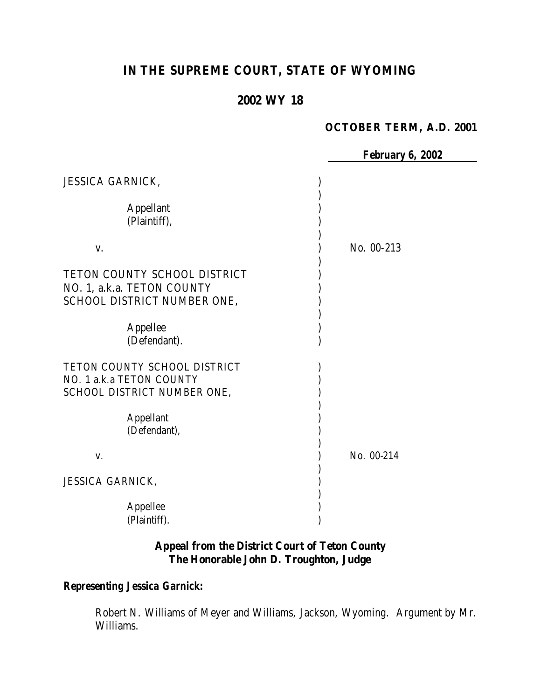# **IN THE SUPREME COURT, STATE OF WYOMING**

# **2002 WY 18**

## **OCTOBER TERM, A.D. 2001**

*February 6, 2002*

| <b>JESSICA GARNICK,</b>                                                                   |            |
|-------------------------------------------------------------------------------------------|------------|
| <b>Appellant</b><br>(Plaintiff),                                                          |            |
| V.                                                                                        | No. 00-213 |
| TETON COUNTY SCHOOL DISTRICT<br>NO. 1, a.k.a. TETON COUNTY<br>SCHOOL DISTRICT NUMBER ONE, |            |
| Appellee<br>(Defendant).                                                                  |            |
| TETON COUNTY SCHOOL DISTRICT<br>NO. 1 a.k.a TETON COUNTY<br>SCHOOL DISTRICT NUMBER ONE,   |            |
| Appellant<br>(Defendant),                                                                 |            |
| V.                                                                                        | No. 00-214 |
| JESSICA GARNICK,                                                                          |            |
| Appellee<br>(Plaintiff).                                                                  |            |

## **Appeal from the District Court of Teton County The Honorable John D. Troughton, Judge**

## *Representing Jessica Garnick:*

Robert N. Williams of Meyer and Williams, Jackson, Wyoming. Argument by Mr. Williams.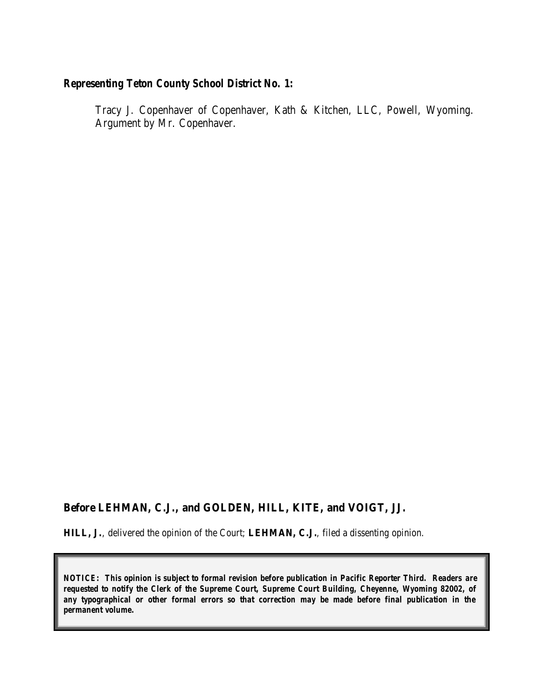## *Representing Teton County School District No. 1:*

Tracy J. Copenhaver of Copenhaver, Kath & Kitchen, LLC, Powell, Wyoming. Argument by Mr. Copenhaver.

#### **Before LEHMAN, C.J., and GOLDEN, HILL, KITE, and VOIGT, JJ.**

**HILL, J.**, delivered the opinion of the Court; **LEHMAN, C.J.**, filed a dissenting opinion.

*NOTICE: This opinion is subject to formal revision before publication in Pacific Reporter Third. Readers are requested to notify the Clerk of the Supreme Court, Supreme Court Building, Cheyenne, Wyoming 82002, of any typographical or other formal errors so that correction may be made before final publication in the permanent volume.*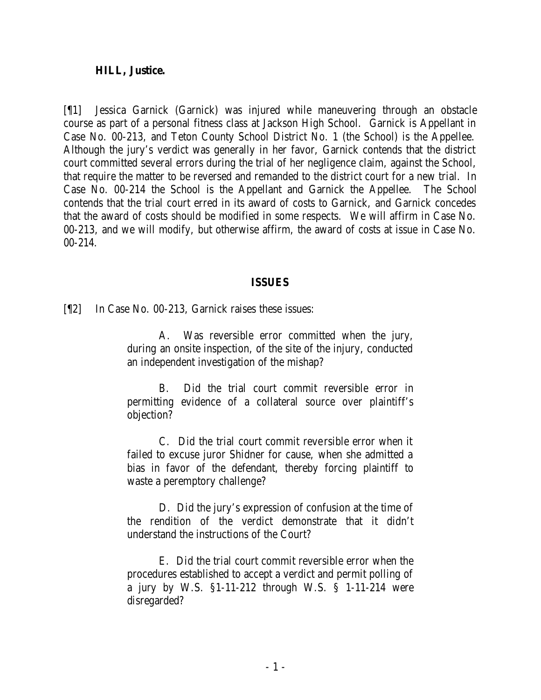#### **HILL, Justice.**

[¶1] Jessica Garnick (Garnick) was injured while maneuvering through an obstacle course as part of a personal fitness class at Jackson High School. Garnick is Appellant in Case No. 00-213, and Teton County School District No. 1 (the School) is the Appellee. Although the jury's verdict was generally in her favor, Garnick contends that the district court committed several errors during the trial of her negligence claim, against the School, that require the matter to be reversed and remanded to the district court for a new trial. In Case No. 00-214 the School is the Appellant and Garnick the Appellee. The School contends that the trial court erred in its award of costs to Garnick, and Garnick concedes that the award of costs should be modified in some respects. We will affirm in Case No. 00-213, and we will modify, but otherwise affirm, the award of costs at issue in Case No. 00-214.

#### **ISSUES**

[¶2] In Case No. 00-213, Garnick raises these issues:

A. Was reversible error committed when the jury, during an onsite inspection, of the site of the injury, conducted an independent investigation of the mishap?

B. Did the trial court commit reversible error in permitting evidence of a collateral source over plaintiff's objection?

C. Did the trial court commit reve rsible error when it failed to excuse juror Shidner for cause, when she admitted a bias in favor of the defendant, thereby forcing plaintiff to waste a peremptory challenge?

D. Did the jury's expression of confusion at the time of the rendition of the verdict demonstrate that it didn't understand the instructions of the Court?

E. Did the trial court commit reversible error when the procedures established to accept a verdict and permit polling of a jury by W.S. §1-11-212 through W.S. § 1-11-214 were disregarded?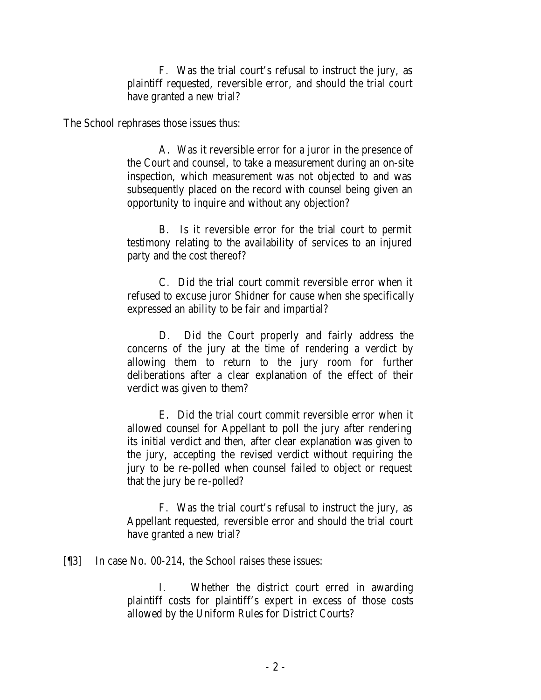F. Was the trial court's refusal to instruct the jury, as plaintiff requested, reversible error, and should the trial court have granted a new trial?

The School rephrases those issues thus:

A. Was it reversible error for a juror in the presence of the Court and counsel, to take a measurement during an on-site inspection, which measurement was not objected to and was subsequently placed on the record with counsel being given an opportunity to inquire and without any objection?

B. Is it reversible error for the trial court to permit testimony relating to the availability of services to an injured party and the cost thereof?

C. Did the trial court commit reversible error when it refused to excuse juror Shidner for cause when she specifically expressed an ability to be fair and impartial?

D. Did the Court properly and fairly address the concerns of the jury at the time of rendering a verdict by allowing them to return to the jury room for further deliberations after a clear explanation of the effect of their verdict was given to them?

E. Did the trial court commit reversible error when it allowed counsel for Appellant to poll the jury after rendering its initial verdict and then, after clear explanation was given to the jury, accepting the revised verdict without requiring the jury to be re-polled when counsel failed to object or request that the jury be re-polled?

F. Was the trial court's refusal to instruct the jury, as Appellant requested, reversible error and should the trial court have granted a new trial?

[¶3] In case No. 00-214, the School raises these issues:

I. Whether the district court erred in awarding plaintiff costs for plaintiff's expert in excess of those costs allowed by the Uniform Rules for District Courts?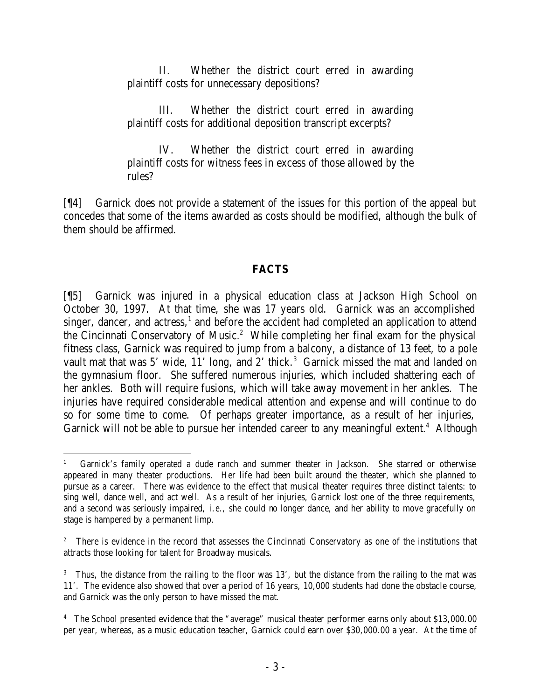II. Whether the district court erred in awarding plaintiff costs for unnecessary depositions?

III. Whether the district court erred in awarding plaintiff costs for additional deposition transcript excerpts?

IV. Whether the district court erred in awarding plaintiff costs for witness fees in excess of those allowed by the rules?

[¶4] Garnick does not provide a statement of the issues for this portion of the appeal but concedes that some of the items awarded as costs should be modified, although the bulk of them should be affirmed.

## **FACTS**

[¶5] Garnick was injured in a physical education class at Jackson High School on October 30, 1997. At that time, she was 17 years old. Garnick was an accomplished singer, dancer, and actress, $<sup>1</sup>$  and before the accident had completed an application to attend</sup> the Cincinnati Conservatory of Music.<sup>2</sup> While completing her final exam for the physical fitness class, Garnick was required to jump from a balcony, a distance of 13 feet, to a pole vault mat that was 5' wide, 11' long, and 2' thick.<sup>3</sup> Garnick missed the mat and landed on the gymnasium floor. She suffered numerous injuries, which included shattering each of her ankles. Both will require fusions, which will take away movement in her ankles. The injuries have required considerable medical attention and expense and will continue to do so for some time to come. Of perhaps greater importance, as a result of her injuries, Garnick will not be able to pursue her intended career to any meaningful extent.<sup>4</sup> Although

 1 Garnick's family operated a dude ranch and summer theater in Jackson. She starred or otherwise appeared in many theater productions. Her life had been built around the theater, which she planned to pursue as a career. There was evidence to the effect that musical theater requires three distinct talents: to sing well, dance well, and act well. As a result of her injuries, Garnick lost one of the three requirements, and a second was seriously impaired, *i.e*., she could no longer dance, and her ability to move gracefully on stage is hampered by a permanent limp.

<sup>2</sup> There is evidence in the record that assesses the Cincinnati Conservatory as one of the institutions that attracts those looking for talent for Broadway musicals.

<sup>&</sup>lt;sup>3</sup> Thus, the distance from the railing to the floor was 13', but the distance from the railing to the mat was 11'. The evidence also showed that over a period of 16 years, 10,000 students had done the obstacle course, and Garnick was the only person to have missed the mat.

<sup>&</sup>lt;sup>4</sup> The School presented evidence that the "average" musical theater performer earns only about \$13,000.00 per year, whereas, as a music education teacher, Garnick could earn over \$30,000.00 a year. At the time of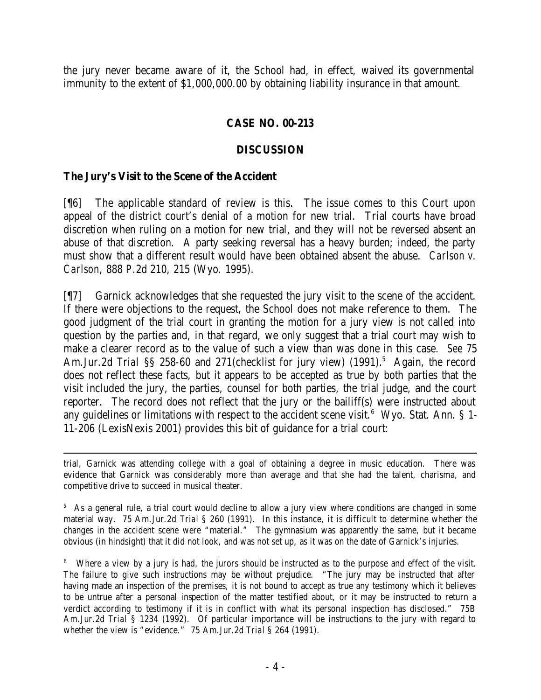the jury never became aware of it, the School had, in effect, waived its governmental immunity to the extent of \$1,000,000.00 by obtaining liability insurance in that amount.

## **CASE NO. 00-213**

## **DISCUSSION**

## **The Jury's Visit to the Scene of the Accident**

[¶6] The applicable standard of review is this. The issue comes to this Court upon appeal of the district court's denial of a motion for new trial. Trial courts have broad discretion when ruling on a motion for new trial, and they will not be reversed absent an abuse of that discretion. A party seeking reversal has a heavy burden; indeed, the party must show that a different result would have been obtained absent the abuse. *Carlson v. Carlson*, 888 P.2d 210, 215 (Wyo. 1995).

[¶7] Garnick acknowledges that she requested the jury visit to the scene of the accident. If there were objections to the request, the School does not make reference to them. The good judgment of the trial court in granting the motion for a jury view is not called into question by the parties and, in that regard, we only suggest that a trial court may wish to make a clearer record as to the value of such a view than was done in this case. *See* 75 Am.Jur.2d *Trial* SS 258-60 and 271(checklist for jury view) (1991).<sup>5</sup> Again, the record does not reflect these facts, but it appears to be accepted as true by both parties that the visit included the jury, the parties, counsel for both parties, the trial judge, and the court reporter. The record does not reflect that the jury or the bailiff(s) were instructed about any guidelines or limitations with respect to the accident scene visit.<sup>6</sup> Wyo. Stat. Ann. § 1-11-206 (LexisNexis 2001) provides this bit of guidance for a trial court:

 trial, Garnick was attending college with a goal of obtaining a degree in music education. There was evidence that Garnick was considerably more than average and that she had the talent, charisma, and competitive drive to succeed in musical theater.

<sup>5</sup> As a general rule, a trial court would decline to allow a jury view where conditions are changed in some material way. 75 Am.Jur.2d *Trial* § 260 (1991). In this instance, it is difficult to determine whether the changes in the accident scene were "material." The gymnasium was apparently the same, but it became obvious (in hindsight) that it did not look, and was not set up, as it was on the date of Garnick's injuries.

<sup>6</sup> Where a view by a jury is had, the jurors should be instructed as to the purpose and effect of the visit. The failure to give such instructions may be without prejudice. "The jury may be instructed that after having made an inspection of the premises, it is not bound to accept as true any testimony which it believes to be untrue after a personal inspection of the matter testified about, or it may be instructed to return a verdict according to testimony if it is in conflict with what its personal inspection has disclosed." 75B Am.Jur.2d *Trial* § 1234 (1992). Of particular importance will be instructions to the jury with regard to whether the view is "evidence." 75 Am.Jur.2d *Trial* § 264 (1991).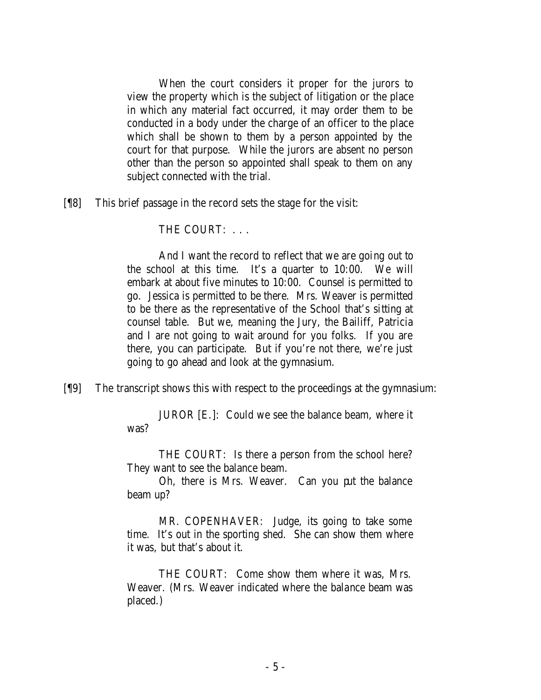When the court considers it proper for the jurors to view the property which is the subject of litigation or the place in which any material fact occurred, it may order them to be conducted in a body under the charge of an officer to the place which shall be shown to them by a person appointed by the court for that purpose. While the jurors are absent no person other than the person so appointed shall speak to them on any subject connected with the trial.

[¶8] This brief passage in the record sets the stage for the visit:

THE COURT: . . .

And I want the record to reflect that we are going out to the school at this time. It's a quarter to 10:00. We will embark at about five minutes to 10:00. Counsel is permitted to go. Jessica is permitted to be there. Mrs. Weaver is permitted to be there as the representative of the School that's sitting at counsel table. But we, meaning the Jury, the Bailiff, Patricia and I are not going to wait around for you folks. If you are there, you can participate. But if you're not there, we're just going to go ahead and look at the gymnasium.

[¶9] The transcript shows this with respect to the proceedings at the gymnasium:

JUROR [E.]: Could we see the balance beam, where it was?

THE COURT: Is there a person from the school here? They want to see the balance beam.

Oh, there is Mrs. Weaver. Can you put the balance beam up?

MR. COPENHAVER: Judge, its going to take some time. It's out in the sporting shed. She can show them where it was, but that's about it.

THE COURT: Come show them where it was, Mrs. Weaver. (Mrs. Weaver indicated where the balance beam was placed.)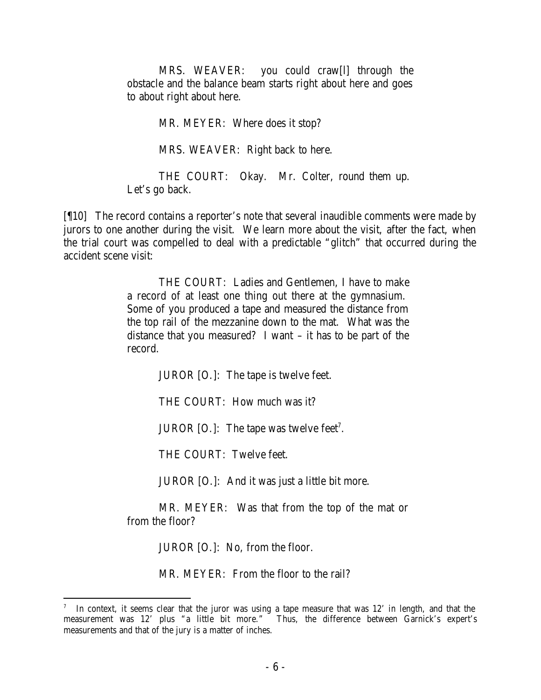MRS. WEAVER: you could craw[l] through the obstacle and the balance beam starts right about here and goes to about right about here.

MR. MEYER: Where does it stop?

MRS. WEAVER: Right back to here.

THE COURT: Okay. Mr. Colter, round them up. Let's go back.

[¶10] The record contains a reporter's note that several inaudible comments were made by jurors to one another during the visit. We learn more about the visit, after the fact, when the trial court was compelled to deal with a predictable "glitch" that occurred during the accident scene visit:

> THE COURT: Ladies and Gentlemen, I have to make a record of at least one thing out there at the gymnasium. Some of you produced a tape and measured the distance from the top rail of the mezzanine down to the mat. What was the distance that you measured? I want – it has to be part of the record.

> > JUROR [O.]: The tape is twelve feet.

THE COURT: How much was it?

JUROR  $[0.]:$  The tape was twelve feet<sup>7</sup>.

THE COURT: Twelve feet.

JUROR [O.]: And it was just a little bit more.

MR. MEYER: Was that from the top of the mat or from the floor?

JUROR [O.]: No, from the floor.

MR. MEYER: From the floor to the rail?

<sup>7</sup> In context, it seems clear that the juror was using a tape measure that was 12' in length, and that the measurement was 12' plus "a little bit more." Thus, the difference between Garnick's expert's measurements and that of the jury is a matter of inches.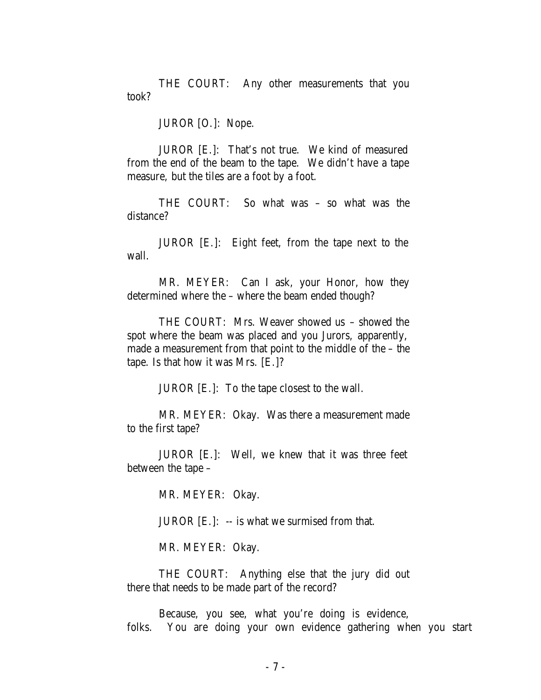THE COURT: Any other measurements that you took?

JUROR [O.]: Nope.

JUROR [E.]: That's not true. We kind of measured from the end of the beam to the tape. We didn't have a tape measure, but the tiles are a foot by a foot.

THE COURT: So what was – so what was the distance?

JUROR [E.]: Eight feet, from the tape next to the wall.

MR. MEYER: Can I ask, your Honor, how they determined where the – where the beam ended though?

THE COURT: Mrs. Weaver showed us – showed the spot where the beam was placed and you Jurors, apparently, made a measurement from that point to the middle of the – the tape. Is that how it was Mrs. [E.]?

JUROR [E.]: To the tape closest to the wall.

MR. MEYER: Okay. Was there a measurement made to the first tape?

JUROR [E.]: Well, we knew that it was three feet between the tape –

MR. MEYER: Okay.

JUROR  $[E.]: -$  is what we surmised from that.

MR. MEYER: Okay.

THE COURT: Anything else that the jury did out there that needs to be made part of the record?

Because, you see, what you're doing is evidence, folks. You are doing your own evidence gathering when you start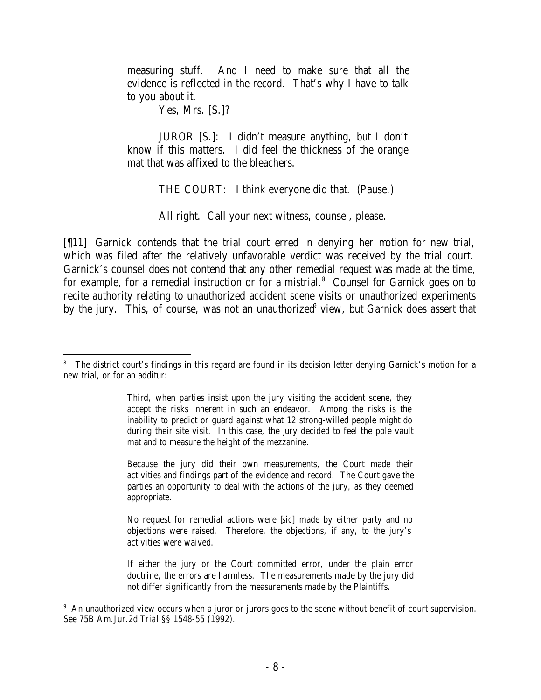measuring stuff. And I need to make sure that all the evidence is reflected in the record. That's why I have to talk to you about it.

Yes, Mrs. [S.]?

JUROR [S.]: I didn't measure anything, but I don't know if this matters. I did feel the thickness of the orange mat that was affixed to the bleachers.

THE COURT: I think everyone did that. (Pause.)

All right. Call your next witness, counsel, please.

[¶11] Garnick contends that the trial court erred in denying her motion for new trial, which was filed after the relatively unfavorable verdict was received by the trial court. Garnick's counsel does not contend that any other remedial request was made at the time, for example, for a remedial instruction or for a mistrial.<sup>8</sup> Counsel for Garnick goes on to recite authority relating to unauthorized accident scene visits or unauthorized experiments by the jury. This, of course, was not an unauthorized<sup>9</sup> view, but Garnick does assert that

Because the jury did their own measurements, the Court made their activities and findings part of the evidence and record. The Court gave the parties an opportunity to deal with the actions of the jury, as they deemed appropriate.

No request for remedial actions were [*sic*] made by either party and no objections were raised. Therefore, the objections, if any, to the jury's activities were waived.

If either the jury or the Court committed error, under the plain error doctrine, the errors are harmless. The measurements made by the jury did not differ significantly from the measurements made by the Plaintiffs.

<sup>9</sup> An unauthorized view occurs when a juror or jurors goes to the scene without benefit of court supervision. See 75B Am.Jur.2d *Trial* §§ 1548-55 (1992).

 8 The district court's findings in this regard are found in its decision letter denying Garnick's motion for a new trial, or for an additur:

Third, when parties insist upon the jury visiting the accident scene, they accept the risks inherent in such an endeavor. Among the risks is the inability to predict or guard against what 12 strong-willed people might do during their site visit. In this case, the jury decided to feel the pole vault mat and to measure the height of the mezzanine.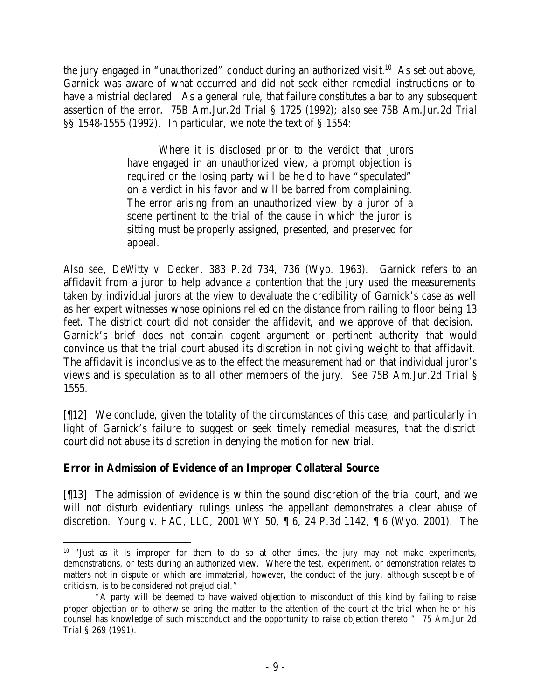the jury engaged in "unauthorized" conduct during an authorized visit.<sup>10</sup> As set out above, Garnick was aware of what occurred and did not seek either remedial instructions or to have a mistrial declared. As a general rule, that failure constitutes a bar to any subsequent assertion of the error. 75B Am.Jur.2d *Trial* § 1725 (1992); *also see* 75B Am.Jur.2d *Trial* §§ 1548-1555 (1992). In particular, we note the text of § 1554:

> Where it is disclosed prior to the verdict that jurors have engaged in an unauthorized view, a prompt objection is required or the losing party will be held to have "speculated" on a verdict in his favor and will be barred from complaining. The error arising from an unauthorized view by a juror of a scene pertinent to the trial of the cause in which the juror is sitting must be properly assigned, presented, and preserved for appeal.

*Also see*, *DeWitty v. Decker*, 383 P.2d 734, 736 (Wyo. 1963). Garnick refers to an affidavit from a juror to help advance a contention that the jury used the measurements taken by individual jurors at the view to devaluate the credibility of Garnick's case as well as her expert witnesses whose opinions relied on the distance from railing to floor being 13 feet. The district court did not consider the affidavit, and we approve of that decision. Garnick's brief does not contain cogent argument or pertinent authority that would convince us that the trial court abused its discretion in not giving weight to that affidavit. The affidavit is inconclusive as to the effect the measurement had on that individual juror's views and is speculation as to all other members of the jury. *See* 75B Am.Jur.2d *Trial* § 1555.

[¶12] We conclude, given the totality of the circumstances of this case, and particularly in light of Garnick's failure to suggest or seek timely remedial measures, that the district court did not abuse its discretion in denying the motion for new trial.

## **Error in Admission of Evidence of an Improper Collateral Source**

[¶13] The admission of evidence is within the sound discretion of the trial court, and we will not disturb evidentiary rulings unless the appellant demonstrates a clear abuse of discretion. *Young v. HAC, LLC,* 2001 WY 50, ¶ 6, 24 P.3d 1142, ¶ 6 (Wyo. 2001). The

 $10$  "Just as it is improper for them to do so at other times, the jury may not make experiments, demonstrations, or tests during an authorized view. Where the test, experiment, or demonstration relates to matters not in dispute or which are immaterial, however, the conduct of the jury, although susceptible of criticism, is to be considered not prejudicial."

<sup>&</sup>quot;A party will be deemed to have waived objection to misconduct of this kind by failing to raise proper objection or to otherwise bring the matter to the attention of the court at the trial when he or his counsel has knowledge of such misconduct and the opportunity to raise objection thereto." 75 Am.Jur.2d *Trial* § 269 (1991).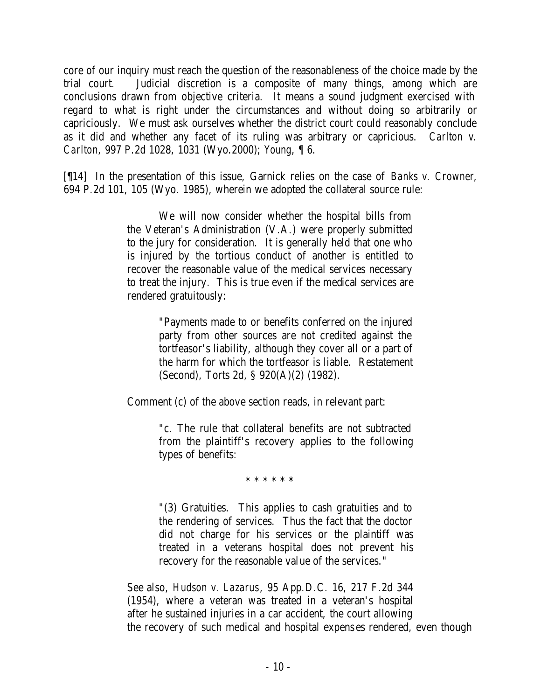core of our inquiry must reach the question of the reasonableness of the choice made by the trial court. Judicial discretion is a composite of many things, among which are conclusions drawn from objective criteria. It means a sound judgment exercised with regard to what is right under the circumstances and without doing so arbitrarily or capriciously. We must ask ourselves whether the district court could reasonably conclude as it did and whether any facet of its ruling was arbitrary or capricious. *Carlton v. Carlton*, 997 P.2d 1028, 1031 (Wyo.2000); *Young*, ¶ 6.

[¶14] In the presentation of this issue, Garnick relies on the case of *Banks v. Crowner*, 694 P.2d 101, 105 (Wyo. 1985), wherein we adopted the collateral source rule:

> We will now consider whether the hospital bills from the Veteran's Administration (V.A.) were properly submitted to the jury for consideration. It is generally held that one who is injured by the tortious conduct of another is entitled to recover the reasonable value of the medical services necessary to treat the injury. This is true even if the medical services are rendered gratuitously:

> > "Payments made to or benefits conferred on the injured party from other sources are not credited against the tortfeasor's liability, although they cover all or a part of the harm for which the tortfeasor is liable. Restatement (Second), Torts 2d, § 920(A)(2) (1982).

Comment (c) of the above section reads, in relevant part:

"c. The rule that collateral benefits are not subtracted from the plaintiff's recovery applies to the following types of benefits:

\* \* \* \* \* \*

"(3) Gratuities. This applies to cash gratuities and to the rendering of services. Thus the fact that the doctor did not charge for his services or the plaintiff was treated in a veterans hospital does not prevent his recovery for the reasonable value of the services."

See also, *Hudson v. Lazarus*, 95 App.D.C. 16, 217 F.2d 344 (1954), where a veteran was treated in a veteran's hospital after he sustained injuries in a car accident, the court allowing the recovery of such medical and hospital expens es rendered, even though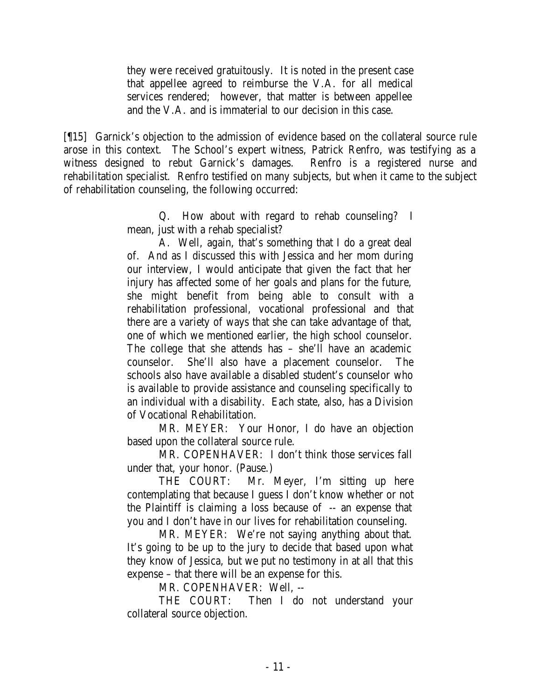they were received gratuitously. It is noted in the present case that appellee agreed to reimburse the V.A. for all medical services rendered; however, that matter is between appellee and the V.A. and is immaterial to our decision in this case.

[¶15] Garnick's objection to the admission of evidence based on the collateral source rule arose in this context. The School's expert witness, Patrick Renfro, was testifying as a witness designed to rebut Garnick's damages. Renfro is a registered nurse and rehabilitation specialist. Renfro testified on many subjects, but when it came to the subject of rehabilitation counseling, the following occurred:

> Q. How about with regard to rehab counseling? I mean, just with a rehab specialist?

A. Well, again, that's something that I do a great deal of. And as I discussed this with Jessica and her mom during our interview, I would anticipate that given the fact that her injury has affected some of her goals and plans for the future, she might benefit from being able to consult with a rehabilitation professional, vocational professional and that there are a variety of ways that she can take advantage of that, one of which we mentioned earlier, the high school counselor. The college that she attends has – she'll have an academic counselor. She'll also have a placement counselor. The schools also have available a disabled student's counselor who is available to provide assistance and counseling specifically to an individual with a disability. Each state, also, has a Division of Vocational Rehabilitation.

MR. MEYER: Your Honor, I do have an objection based upon the collateral source rule.

MR. COPENHAVER: I don't think those services fall under that, your honor. (Pause.)

THE COURT: Mr. Meyer, I'm sitting up here contemplating that because I guess I don't know whether or not the Plaintiff is claiming a loss because of -- an expense that you and I don't have in our lives for rehabilitation counseling.

MR. MEYER: We're not saying anything about that. It's going to be up to the jury to decide that based upon what they know of Jessica, but we put no testimony in at all that this expense – that there will be an expense for this.

MR. COPENHAVER: Well, --

THE COURT: Then I do not understand your collateral source objection.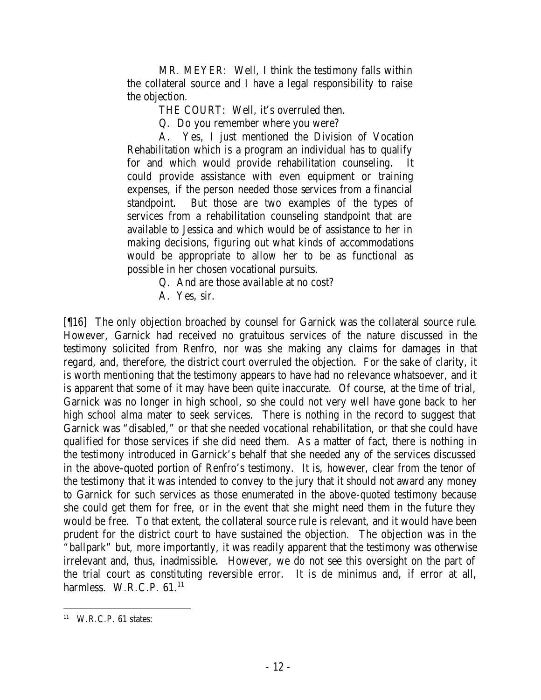MR. MEYER: Well, I think the testimony falls within the collateral source and I have a legal responsibility to raise the objection.

THE COURT: Well, it's overruled then.

Q. Do you remember where you were?

A. Yes, I just mentioned the Division of Vocation Rehabilitation which is a program an individual has to qualify for and which would provide rehabilitation counseling. could provide assistance with even equipment or training expenses, if the person needed those services from a financial standpoint. But those are two examples of the types of services from a rehabilitation counseling standpoint that are available to Jessica and which would be of assistance to her in making decisions, figuring out what kinds of accommodations would be appropriate to allow her to be as functional as possible in her chosen vocational pursuits.

Q. And are those available at no cost?

[¶16] The only objection broached by counsel for Garnick was the collateral source rule. However, Garnick had received no gratuitous services of the nature discussed in the testimony solicited from Renfro, nor was she making any claims for damages in that regard, and, therefore, the district court overruled the objection. For the sake of clarity, it is worth mentioning that the testimony appears to have had no relevance whatsoever, and it is apparent that some of it may have been quite inaccurate. Of course, at the time of trial, Garnick was no longer in high school, so she could not very well have gone back to her high school alma mater to seek services. There is nothing in the record to suggest that Garnick was "disabled," or that she needed vocational rehabilitation, or that she could have qualified for those services if she did need them. As a matter of fact, there is nothing in the testimony introduced in Garnick's behalf that she needed any of the services discussed in the above-quoted portion of Renfro's testimony. It is, however, clear from the tenor of the testimony that it was intended to convey to the jury that it should not award any money to Garnick for such services as those enumerated in the above-quoted testimony because she could get them for free, or in the event that she might need them in the future they would be free. To that extent, the collateral source rule is relevant, and it would have been prudent for the district court to have sustained the objection. The objection was in the "ballpark" but, more importantly, it was readily apparent that the testimony was otherwise irrelevant and, thus, inadmissible. However, we do not see this oversight on the part of the trial court as constituting reversible error. It is de minimus and, if error at all, harmless. W.R.C.P.  $61<sup>11</sup>$ 

A. Yes, sir.

<sup>11</sup> W.R.C.P. 61 states: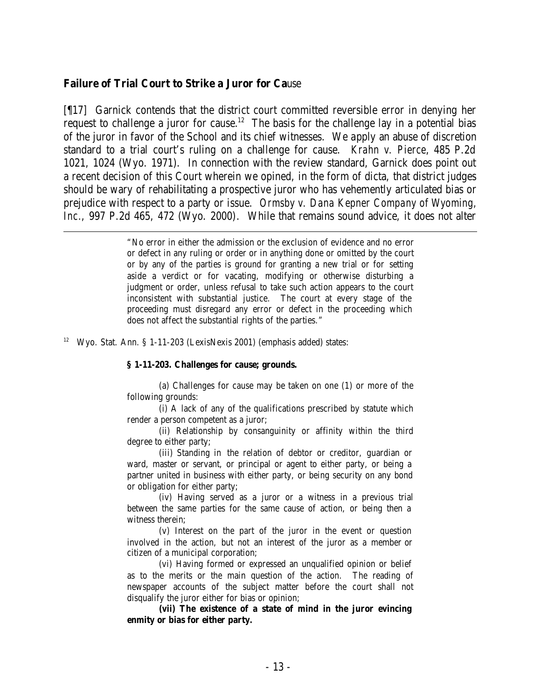#### **Failure of Trial Court to Strike a Juror for Ca**use

[¶17] Garnick contends that the district court committed reversible error in denying her request to challenge a juror for cause.<sup>12</sup> The basis for the challenge lay in a potential bias of the juror in favor of the School and its chief witnesses. We apply an abuse of discretion standard to a trial court's ruling on a challenge for cause. *Krahn v. Pierce*, 485 P.2d 1021, 1024 (Wyo. 1971). In connection with the review standard, Garnick does point out a recent decision of this Court wherein we opined, in the form of dicta, that district judges should be wary of rehabilitating a prospective juror who has vehemently articulated bias or prejudice with respect to a party or issue. *Ormsby v. Dana Kepner Company of Wyoming, Inc.*, 997 P.2d 465, 472 (Wyo. 2000). While that remains sound advice, it does not alter

> "No error in either the admission or the exclusion of evidence and no error or defect in any ruling or order or in anything done or omitted by the court or by any of the parties is ground for granting a new trial or for setting aside a verdict or for vacating, modifying or otherwise disturbing a judgment or order, unless refusal to take such action appears to the court inconsistent with substantial justice. The court at every stage of the proceeding must disregard any error or defect in the proceeding which does not affect the substantial rights of the parties."

<sup>12</sup> Wyo. Stat. Ann. § 1-11-203 (LexisNexis 2001) (emphasis added) states:

#### **§ 1-11-203. Challenges for cause; grounds.**

(a) Challenges for cause may be taken on one (1) or more of the following grounds:

(i) A lack of any of the qualifications prescribed by statute which render a person competent as a juror;

(ii) Relationship by consanguinity or affinity within the third degree to either party;

(iii) Standing in the relation of debtor or creditor, guardian or ward, master or servant, or principal or agent to either party, or being a partner united in business with either party, or being security on any bond or obligation for either party;

(iv) Having served as a juror or a witness in a previous trial between the same parties for the same cause of action, or being then a witness therein;

(v) Interest on the part of the juror in the event or question involved in the action, but not an interest of the juror as a member or citizen of a municipal corporation;

(vi) Having formed or expressed an unqualified opinion or belief as to the merits or the main question of the action. The reading of newspaper accounts of the subject matter before the court shall not disqualify the juror either for bias or opinion;

**(vii) The existence of a state of mind in the juror evincing enmity or bias for either party.**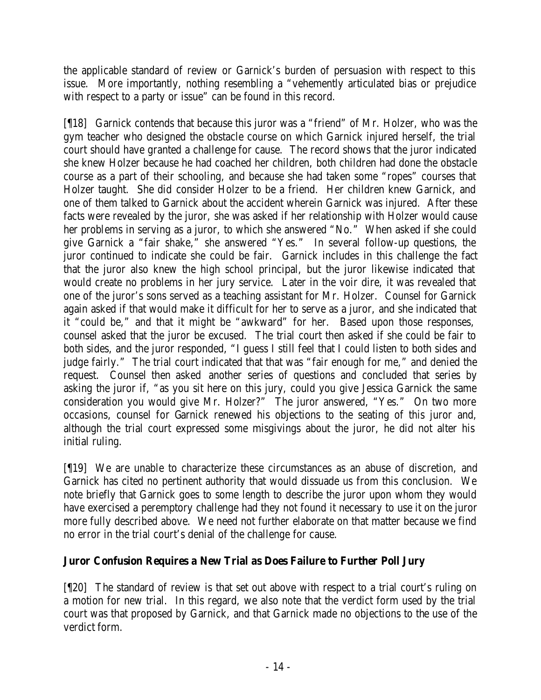the applicable standard of review or Garnick's burden of persuasion with respect to this issue. More importantly, nothing resembling a "vehemently articulated bias or prejudice with respect to a party or issue" can be found in this record.

[¶18] Garnick contends that because this juror was a "friend" of Mr. Holzer, who was the gym teacher who designed the obstacle course on which Garnick injured herself, the trial court should have granted a challenge for cause. The record shows that the juror indicated she knew Holzer because he had coached her children, both children had done the obstacle course as a part of their schooling, and because she had taken some "ropes" courses that Holzer taught. She did consider Holzer to be a friend. Her children knew Garnick, and one of them talked to Garnick about the accident wherein Garnick was injured. After these facts were revealed by the juror, she was asked if her relationship with Holzer would cause her problems in serving as a juror, to which she answered "No." When asked if she could give Garnick a "fair shake," she answered "Yes." In several follow-up questions, the juror continued to indicate she could be fair. Garnick includes in this challenge the fact that the juror also knew the high school principal, but the juror likewise indicated that would create no problems in her jury service. Later in the voir dire, it was revealed that one of the juror's sons served as a teaching assistant for Mr. Holzer. Counsel for Garnick again asked if that would make it difficult for her to serve as a juror, and she indicated that it "could be," and that it might be "awkward" for her. Based upon those responses, counsel asked that the juror be excused. The trial court then asked if she could be fair to both sides, and the juror responded, "I guess I still feel that I could listen to both sides and judge fairly." The trial court indicated that that was "fair enough for me," and denied the request. Counsel then asked another series of questions and concluded that series by asking the juror if, "as you sit here on this jury, could you give Jessica Garnick the same consideration you would give Mr. Holzer?" The juror answered, "Yes." On two more occasions, counsel for Garnick renewed his objections to the seating of this juror and, although the trial court expressed some misgivings about the juror, he did not alter his initial ruling.

[¶19] We are unable to characterize these circumstances as an abuse of discretion, and Garnick has cited no pertinent authority that would dissuade us from this conclusion. We note briefly that Garnick goes to some length to describe the juror upon whom they would have exercised a peremptory challenge had they not found it necessary to use it on the juror more fully described above. We need not further elaborate on that matter because we find no error in the trial court's denial of the challenge for cause.

## **Juror Confusion Requires a New Trial as Does Failure to Further Poll Jury**

[¶20] The standard of review is that set out above with respect to a trial court's ruling on a motion for new trial. In this regard, we also note that the verdict form used by the trial court was that proposed by Garnick, and that Garnick made no objections to the use of the verdict form.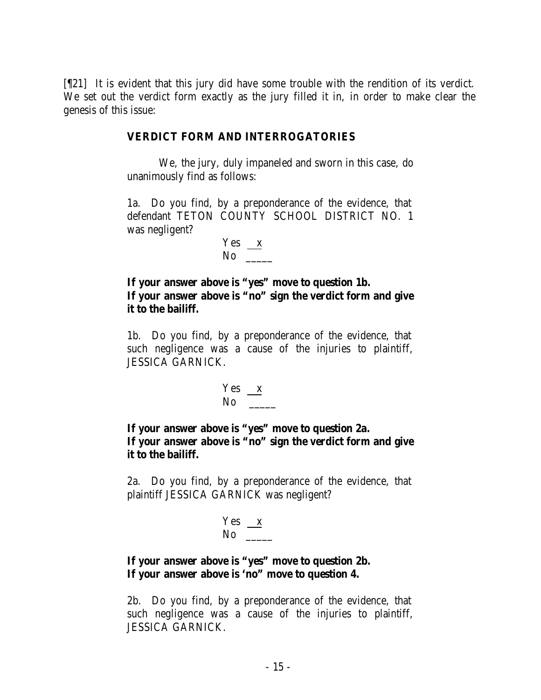[¶21] It is evident that this jury did have some trouble with the rendition of its verdict. We set out the verdict form exactly as the jury filled it in, in order to make clear the genesis of this issue:

### **VERDICT FORM AND INTERROGATORIES**

We, the jury, duly impaneled and sworn in this case, do unanimously find as follows:

1a. Do you find, by a preponderance of the evidence, that defendant TETON COUNTY SCHOOL DISTRICT NO. 1 was negligent?

$$
\frac{\text{Yes}}{\text{No}}
$$

**If your answer above is "yes" move to question 1b. If your answer above is "no" sign the verdict form and give it to the bailiff.**

1b. Do you find, by a preponderance of the evidence, that such negligence was a cause of the injuries to plaintiff, JESSICA GARNICK.

$$
\frac{\text{Yes}}{\text{No}}
$$

**If your answer above is "yes" move to question 2a. If your answer above is "no" sign the verdict form and give it to the bailiff.**

2a. Do you find, by a preponderance of the evidence, that plaintiff JESSICA GARNICK was negligent?

$$
\frac{Yes}{No} \xrightarrow{X}
$$

## **If your answer above is "yes" move to question 2b. If your answer above is 'no" move to question 4.**

2b. Do you find, by a preponderance of the evidence, that such negligence was a cause of the injuries to plaintiff, JESSICA GARNICK.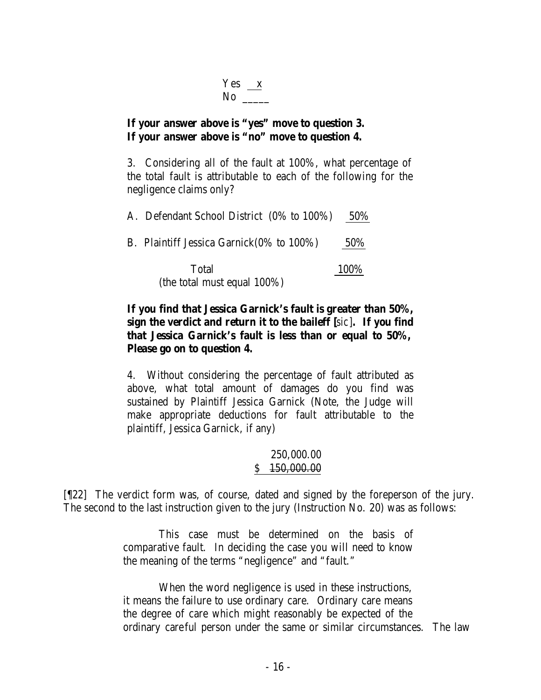| Y es | ¥ |
|------|---|
| NΩ   |   |

## **If your answer above is "yes" move to question 3. If your answer above is "no" move to question 4.**

3. Considering all of the fault at 100%, what percentage of the total fault is attributable to each of the following for the negligence claims only?

| A. Defendant School District (0% to 100%) | 50\% |
|-------------------------------------------|------|
| B. Plaintiff Jessica Garnick(0% to 100%)  | 50\% |
| Total<br>(the total must equal $100\%$ )  | 100% |

## **If you find that Jessica Garnick's fault is greater than 50%, sign the verdict and return it to the baileff [***sic*]**. If you find that Jessica Garnick's fault is less than or equal to 50%, Please go on to question 4.**

4. Without considering the percentage of fault attributed as above, what total amount of damages do you find was sustained by Plaintiff Jessica Garnick (Note, the Judge will make appropriate deductions for fault attributable to the plaintiff, Jessica Garnick, if any)

## 250,000.00 \$ 150,000.00

[¶22] The verdict form was, of course, dated and signed by the foreperson of the jury. The second to the last instruction given to the jury (Instruction No. 20) was as follows:

> This case must be determined on the basis of comparative fault. In deciding the case you will need to know the meaning of the terms "negligence" and "fault."

When the word negligence is used in these instructions, it means the failure to use ordinary care. Ordinary care means the degree of care which might reasonably be expected of the ordinary careful person under the same or similar circumstances. The law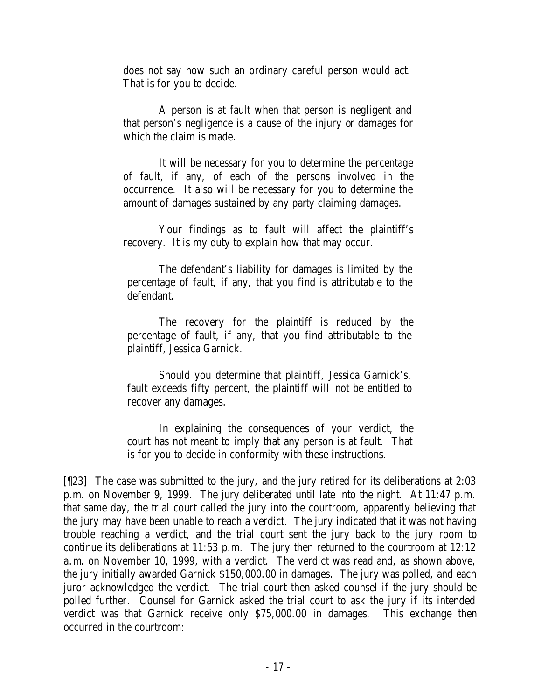does not say how such an ordinary careful person would act. That is for you to decide.

A person is at fault when that person is negligent and that person's negligence is a cause of the injury or damages for which the claim is made.

It will be necessary for you to determine the percentage of fault, if any, of each of the persons involved in the occurrence. It also will be necessary for you to determine the amount of damages sustained by any party claiming damages.

Your findings as to fault will affect the plaintiff's recovery. It is my duty to explain how that may occur.

The defendant's liability for damages is limited by the percentage of fault, if any, that you find is attributable to the defendant.

The recovery for the plaintiff is reduced by the percentage of fault, if any, that you find attributable to the plaintiff, Jessica Garnick.

Should you determine that plaintiff, Jessica Garnick's, fault exceeds fifty percent, the plaintiff will not be entitled to recover any damages.

In explaining the consequences of your verdict, the court has not meant to imply that any person is at fault. That is for you to decide in conformity with these instructions.

[¶23] The case was submitted to the jury, and the jury retired for its deliberations at 2:03 p.m. on November 9, 1999. The jury deliberated until late into the night. At 11:47 p.m. that same day, the trial court called the jury into the courtroom, apparently believing that the jury may have been unable to reach a verdict. The jury indicated that it was not having trouble reaching a verdict, and the trial court sent the jury back to the jury room to continue its deliberations at 11:53 p.m. The jury then returned to the courtroom at 12:12 a.m. on November 10, 1999, with a verdict. The verdict was read and, as shown above, the jury initially awarded Garnick \$150,000.00 in damages. The jury was polled, and each juror acknowledged the verdict. The trial court then asked counsel if the jury should be polled further. Counsel for Garnick asked the trial court to ask the jury if its intended verdict was that Garnick receive only \$75,000.00 in damages. This exchange then occurred in the courtroom: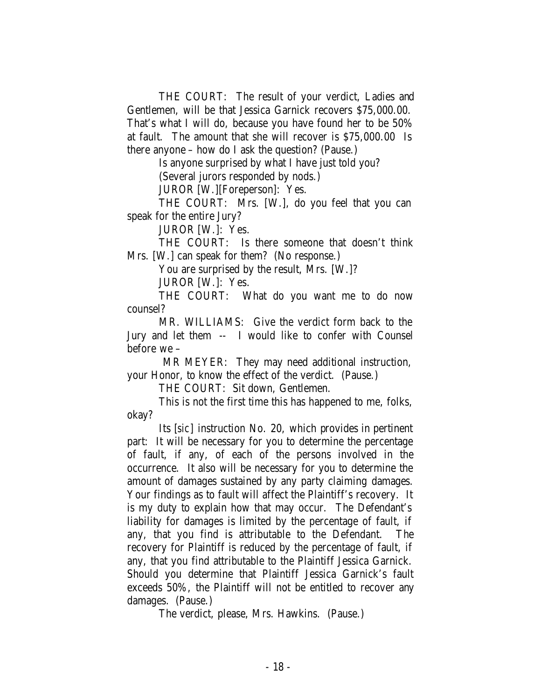THE COURT: The result of your verdict, Ladies and Gentlemen, will be that Jessica Garnick recovers \$75,000.00. That's what I will do, because you have found her to be 50% at fault. The amount that she will recover is \$75,000.00 Is there anyone – how do I ask the question? (Pause.)

Is anyone surprised by what I have just told you?

(Several jurors responded by nods.)

JUROR [W.][Foreperson]: Yes.

THE COURT: Mrs. [W.], do you feel that you can speak for the entire Jury?

JUROR [W.]: Yes.

THE COURT: Is there someone that doesn't think Mrs. [W.] can speak for them? (No response.)

You are surprised by the result, Mrs. [W.]?

JUROR [W.]: Yes.

THE COURT: What do you want me to do now counsel?

MR. WILLIAMS: Give the verdict form back to the Jury and let them -- I would like to confer with Counsel before we –

MR MEYER: They may need additional instruction, your Honor, to know the effect of the verdict. (Pause.)

THE COURT: Sit down, Gentlemen.

This is not the first time this has happened to me, folks, okay?

Its [*sic*] instruction No. 20, which provides in pertinent part: It will be necessary for you to determine the percentage of fault, if any, of each of the persons involved in the occurrence. It also will be necessary for you to determine the amount of damages sustained by any party claiming damages. Your findings as to fault will affect the Plaintiff's recovery. It is my duty to explain how that may occur. The Defendant's liability for damages is limited by the percentage of fault, if any, that you find is attributable to the Defendant. The recovery for Plaintiff is reduced by the percentage of fault, if any, that you find attributable to the Plaintiff Jessica Garnick. Should you determine that Plaintiff Jessica Garnick's fault exceeds 50%, the Plaintiff will not be entitled to recover any damages. (Pause.)

The verdict, please, Mrs. Hawkins. (Pause.)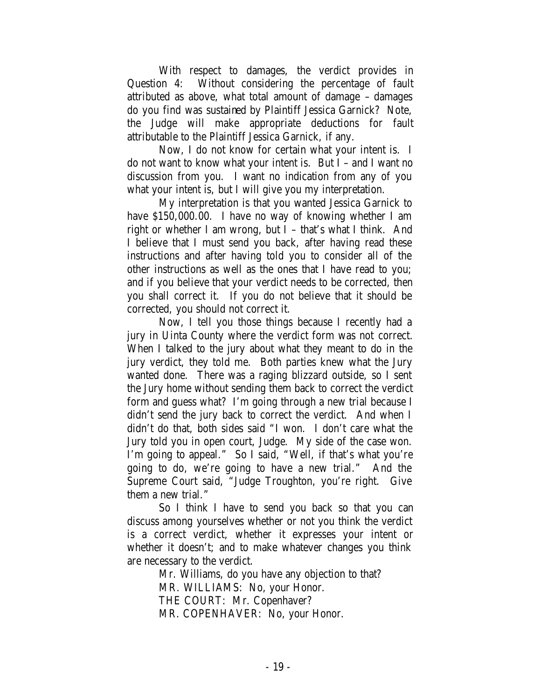With respect to damages, the verdict provides in Question 4: Without considering the percentage of fault attributed as above, what total amount of damage – damages do you find was sustained by Plaintiff Jessica Garnick? Note, the Judge will make appropriate deductions for fault attributable to the Plaintiff Jessica Garnick, if any.

Now, I do not know for certain what your intent is. I do not want to know what your intent is. But I – and I want no discussion from you. I want no indication from any of you what your intent is, but I will give you my interpretation.

My interpretation is that you wanted Jessica Garnick to have \$150,000.00. I have no way of knowing whether I am right or whether I am wrong, but I – that's what I think. And I believe that I must send you back, after having read these instructions and after having told you to consider all of the other instructions as well as the ones that I have read to you; and if you believe that your verdict needs to be corrected, then you shall correct it. If you do not believe that it should be corrected, you should not correct it.

Now, I tell you those things because I recently had a jury in Uinta County where the verdict form was not correct. When I talked to the jury about what they meant to do in the jury verdict, they told me. Both parties knew what the Jury wanted done. There was a raging blizzard outside, so I sent the Jury home without sending them back to correct the verdict form and guess what? I'm going through a new trial because I didn't send the jury back to correct the verdict. And when I didn't do that, both sides said "I won. I don't care what the Jury told you in open court, Judge. My side of the case won. I'm going to appeal." So I said, "Well, if that's what you're going to do, we're going to have a new trial." And the Supreme Court said, "Judge Troughton, you're right. Give them a new trial."

So I think I have to send you back so that you can discuss among yourselves whether or not you think the verdict is a correct verdict, whether it expresses your intent or whether it doesn't; and to make whatever changes you think are necessary to the verdict.

Mr. Williams, do you have any objection to that? MR. WILLIAMS: No, your Honor. THE COURT: Mr. Copenhaver? MR. COPENHAVER: No, your Honor.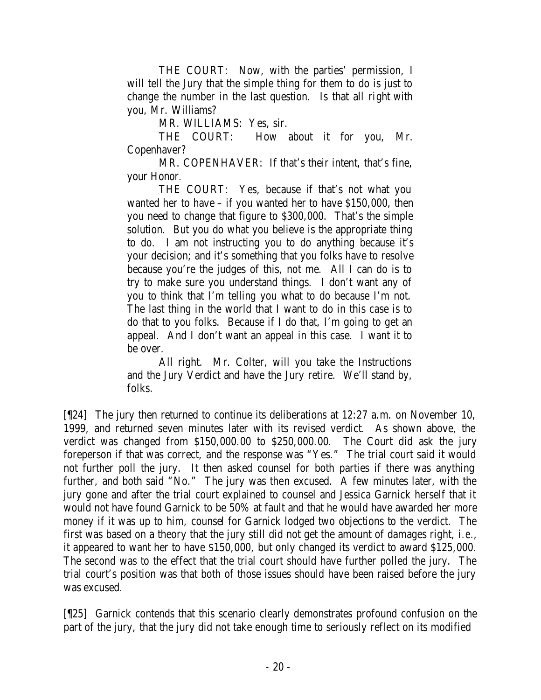THE COURT: Now, with the parties' permission, I will tell the Jury that the simple thing for them to do is just to change the number in the last question. Is that all right with you, Mr. Williams?

MR. WILLIAMS: Yes, sir.

THE COURT: How about it for you, Mr. Copenhaver?

MR. COPENHAVER: If that's their intent, that's fine, your Honor.

THE COURT: Yes, because if that's not what you wanted her to have – if you wanted her to have \$150,000, then you need to change that figure to \$300,000. That's the simple solution. But you do what you believe is the appropriate thing to do. I am not instructing you to do anything because it's your decision; and it's something that you folks have to resolve because you're the judges of this, not me. All I can do is to try to make sure you understand things. I don't want any of you to think that I'm telling you what to do because I'm not. The last thing in the world that I want to do in this case is to do that to you folks. Because if I do that, I'm going to get an appeal. And I don't want an appeal in this case. I want it to be over.

All right. Mr. Colter, will you take the Instructions and the Jury Verdict and have the Jury retire. We'll stand by, folks.

[¶24] The jury then returned to continue its deliberations at 12:27 a.m. on November 10, 1999, and returned seven minutes later with its revised verdict. As shown above, the verdict was changed from \$150,000.00 to \$250,000.00. The Court did ask the jury foreperson if that was correct, and the response was "Yes." The trial court said it would not further poll the jury. It then asked counsel for both parties if there was anything further, and both said "No." The jury was then excused. A few minutes later, with the jury gone and after the trial court explained to counsel and Jessica Garnick herself that it would not have found Garnick to be 50% at fault and that he would have awarded her more money if it was up to him, counsel for Garnick lodged two objections to the verdict. The first was based on a theory that the jury still did not get the amount of damages right, *i.e.*, it appeared to want her to have \$150,000, but only changed its verdict to award \$125,000. The second was to the effect that the trial court should have further polled the jury. The trial court's position was that both of those issues should have been raised before the jury was excused.

[¶25] Garnick contends that this scenario clearly demonstrates profound confusion on the part of the jury, that the jury did not take enough time to seriously reflect on its modified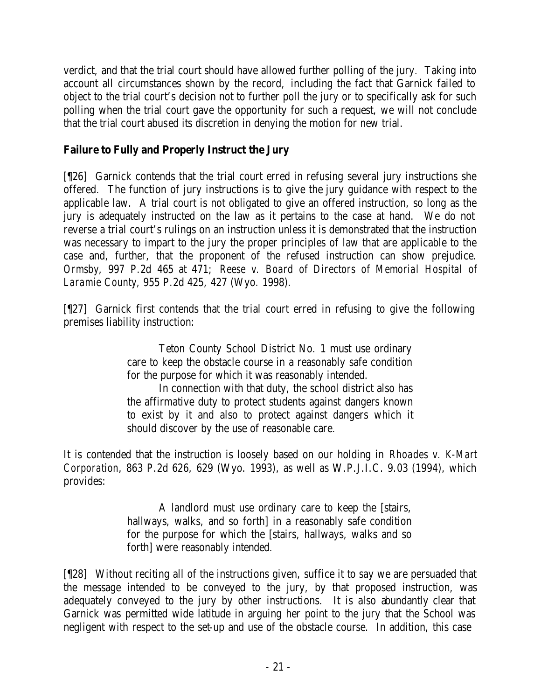verdict, and that the trial court should have allowed further polling of the jury. Taking into account all circumstances shown by the record, including the fact that Garnick failed to object to the trial court's decision not to further poll the jury or to specifically ask for such polling when the trial court gave the opportunity for such a request, we will not conclude that the trial court abused its discretion in denying the motion for new trial.

# **Failure to Fully and Properly Instruct the Jury**

[¶26] Garnick contends that the trial court erred in refusing several jury instructions she offered. The function of jury instructions is to give the jury guidance with respect to the applicable law. A trial court is not obligated to give an offered instruction, so long as the jury is adequately instructed on the law as it pertains to the case at hand. We do not reverse a trial court's rulings on an instruction unless it is demonstrated that the instruction was necessary to impart to the jury the proper principles of law that are applicable to the case and, further, that the proponent of the refused instruction can show prejudice. *Ormsby*, 997 P.2d 465 at 471; *Reese v. Board of Directors of Memorial Hospital of Laramie County*, 955 P.2d 425, 427 (Wyo. 1998).

[¶27] Garnick first contends that the trial court erred in refusing to give the following premises liability instruction:

> Teton County School District No. 1 must use ordinary care to keep the obstacle course in a reasonably safe condition for the purpose for which it was reasonably intended.

> In connection with that duty, the school district also has the affirmative duty to protect students against dangers known to exist by it and also to protect against dangers which it should discover by the use of reasonable care.

It is contended that the instruction is loosely based on our holding in *Rhoades v. K-Mart Corporation*, 863 P.2d 626, 629 (Wyo. 1993), as well as W.P.J.I.C. 9.03 (1994), which provides:

> A landlord must use ordinary care to keep the [stairs, hallways, walks, and so forth] in a reasonably safe condition for the purpose for which the [stairs, hallways, walks and so forth] were reasonably intended.

[¶28] Without reciting all of the instructions given, suffice it to say we are persuaded that the message intended to be conveyed to the jury, by that proposed instruction, was adequately conveyed to the jury by other instructions. It is also abundantly clear that Garnick was permitted wide latitude in arguing her point to the jury that the School was negligent with respect to the set-up and use of the obstacle course. In addition, this case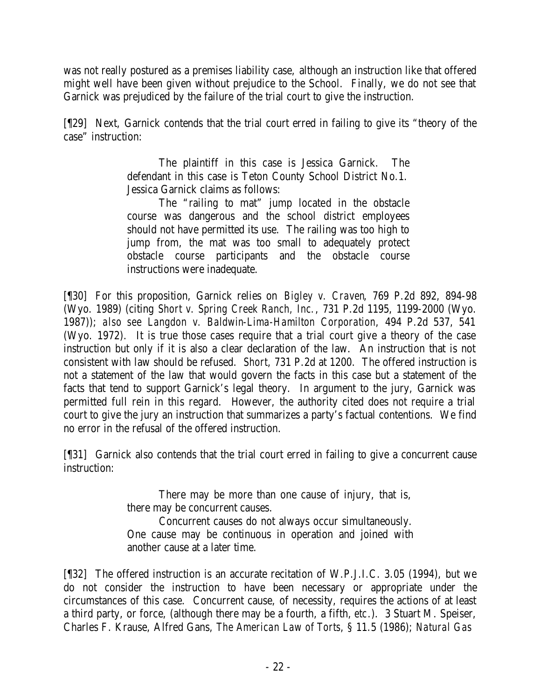was not really postured as a premises liability case, although an instruction like that offered might well have been given without prejudice to the School. Finally, we do not see that Garnick was prejudiced by the failure of the trial court to give the instruction.

[¶29] Next, Garnick contends that the trial court erred in failing to give its "theory of the case" instruction:

> The plaintiff in this case is Jessica Garnick. The defendant in this case is Teton County School District No.1. Jessica Garnick claims as follows:

> The "railing to mat" jump located in the obstacle course was dangerous and the school district employees should not have permitted its use. The railing was too high to jump from, the mat was too small to adequately protect obstacle course participants and the obstacle course instructions were inadequate.

[¶30] For this proposition, Garnick relies on *Bigley v. Craven*, 769 P.2d 892, 894-98 (Wyo. 1989) (citing *Short v. Spring Creek Ranch, Inc.*, 731 P.2d 1195, 1199-2000 (Wyo. 1987)); *also see Langdon v. Baldwin-Lima-Hamilton Corporation*, 494 P.2d 537, 541 (Wyo. 1972). It is true those cases require that a trial court give a theory of the case instruction but only if it is also a clear declaration of the law. An instruction that is not consistent with law should be refused. *Short*, 731 P.2d at 1200. The offered instruction is not a statement of the law that would govern the facts in this case but a statement of the facts that tend to support Garnick's legal theory. In argument to the jury, Garnick was permitted full rein in this regard. However, the authority cited does not require a trial court to give the jury an instruction that summarizes a party's factual contentions. We find no error in the refusal of the offered instruction.

[¶31] Garnick also contends that the trial court erred in failing to give a concurrent cause instruction:

> There may be more than one cause of injury, that is, there may be concurrent causes. Concurrent causes do not always occur simultaneously. One cause may be continuous in operation and joined with another cause at a later time.

[¶32] The offered instruction is an accurate recitation of W.P.J.I.C. 3.05 (1994), but we do not consider the instruction to have been necessary or appropriate under the circumstances of this case. Concurrent cause, of necessity, requires the actions of at least a third party, or force, (although there may be a fourth, a fifth, *etc*.). 3 Stuart M. Speiser, Charles F. Krause, Alfred Gans, *The American Law of Torts*, § 11.5 (1986); *Natural Gas*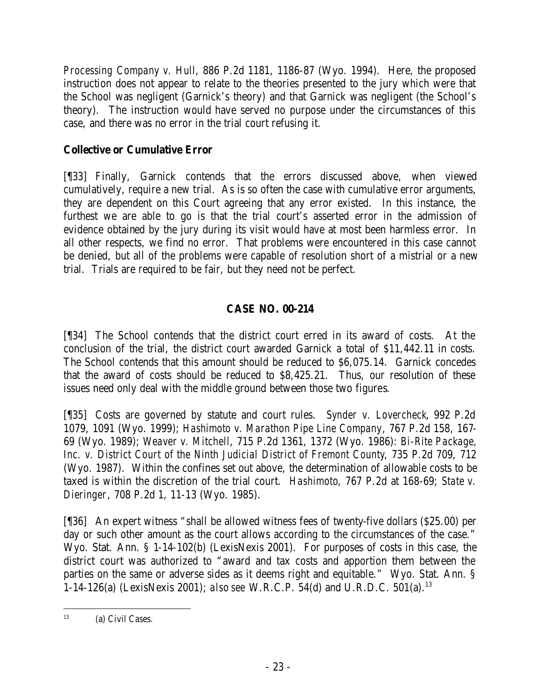*Processing Company v. Hull*, 886 P.2d 1181, 1186-87 (Wyo. 1994). Here, the proposed instruction does not appear to relate to the theories presented to the jury which were that the School was negligent (Garnick's theory) and that Garnick was negligent (the School's theory). The instruction would have served no purpose under the circumstances of this case, and there was no error in the trial court refusing it.

## **Collective or Cumulative Error**

[¶33] Finally, Garnick contends that the errors discussed above, when viewed cumulatively, require a new trial. As is so often the case with cumulative error arguments, they are dependent on this Court agreeing that any error existed. In this instance, the furthest we are able to go is that the trial court's asserted error in the admission of evidence obtained by the jury during its visit would have at most been harmless error. In all other respects, we find no error. That problems were encountered in this case cannot be denied, but all of the problems were capable of resolution short of a mistrial or a new trial. Trials are required to be fair, but they need not be perfect.

# **CASE NO. 00-214**

[¶34] The School contends that the district court erred in its award of costs. At the conclusion of the trial, the district court awarded Garnick a total of \$11,442.11 in costs. The School contends that this amount should be reduced to \$6,075.14. Garnick concedes that the award of costs should be reduced to \$8,425.21. Thus, our resolution of these issues need only deal with the middle ground between those two figures.

[¶35] Costs are governed by statute and court rules. *Synder v. Lovercheck*, 992 P.2d 1079, 1091 (Wyo. 1999); *Hashimoto v. Marathon Pipe Line Company*, 767 P.2d 158, 167- 69 (Wyo. 1989); *Weaver v. Mitchell*, 715 P.2d 1361, 1372 (Wyo. 1986): *Bi-Rite Package, Inc. v. District Court of the Ninth Judicial District of Fremont County*, 735 P.2d 709, 712 (Wyo. 1987). Within the confines set out above, the determination of allowable costs to be taxed is within the discretion of the trial court. *Hashimoto*, 767 P.2d at 168-69; *State v. Dieringer*, 708 P.2d 1, 11-13 (Wyo. 1985).

[¶36] An expert witness "shall be allowed witness fees of twenty-five dollars (\$25.00) per day or such other amount as the court allows according to the circumstances of the case." Wyo. Stat. Ann. § 1-14-102(b) (LexisNexis 2001). For purposes of costs in this case, the district court was authorized to "award and tax costs and apportion them between the parties on the same or adverse sides as it deems right and equitable." Wyo. Stat. Ann. § 1-14-126(a) (LexisNexis 2001); *also see* W.R.C.P. 54(d) and U.R.D.C. 501(a).<sup>13</sup>

 13 (a) Civil Cases.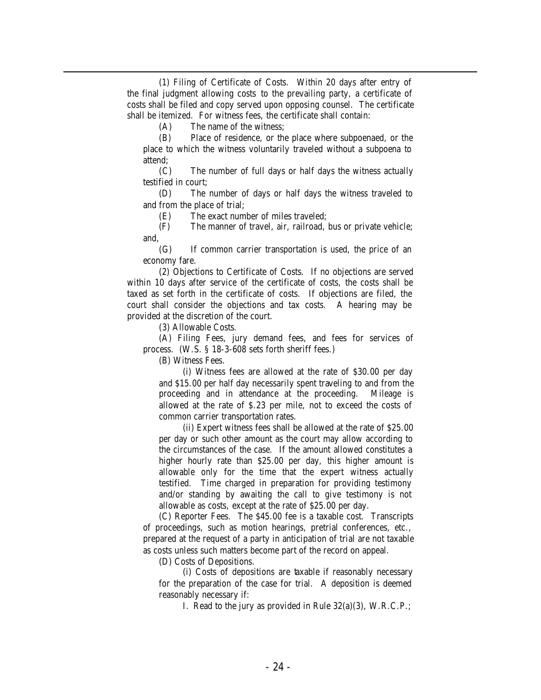(1) Filing of Certificate of Costs. Within 20 days after entry of the final judgment allowing costs to the prevailing party, a certificate of costs shall be filed and copy served upon opposing counsel. The certificate shall be itemized. For witness fees, the certificate shall contain:

(A) The name of the witness;

(B) Place of residence, or the place where subpoenaed, or the place to which the witness voluntarily traveled without a subpoena to attend;

(C) The number of full days or half days the witness actually testified in court;

(D) The number of days or half days the witness traveled to and from the place of trial;

(E) The exact number of miles traveled;

(F) The manner of travel, air, railroad, bus or private vehicle; and,

(G) If common carrier transportation is used, the price of an economy fare.

(2) Objections to Certificate of Costs. If no objections are served within 10 days after service of the certificate of costs, the costs shall be taxed as set forth in the certificate of costs. If objections are filed, the court shall consider the objections and tax costs. A hearing may be provided at the discretion of the court.

(3) Allowable Costs.

(A) Filing Fees, jury demand fees, and fees for services of process. (W.S. § 18-3-608 sets forth sheriff fees.)

(B) Witness Fees.

(i) Witness fees are allowed at the rate of \$30.00 per day and \$15.00 per half day necessarily spent traveling to and from the proceeding and in attendance at the proceeding. Mileage is allowed at the rate of \$.23 per mile, not to exceed the costs of common carrier transportation rates.

(ii) Expert witness fees shall be allowed at the rate of \$25.00 per day or such other amount as the court may allow according to the circumstances of the case. If the amount allowed constitutes a higher hourly rate than \$25.00 per day, this higher amount is allowable only for the time that the expert witness actually testified. Time charged in preparation for providing testimony and/or standing by awaiting the call to give testimony is not allowable as costs, except at the rate of \$25.00 per day.

(C) Reporter Fees. The \$45.00 fee is a taxable cost. Transcripts of proceedings, such as motion hearings, pretrial conferences, etc., prepared at the request of a party in anticipation of trial are not taxable as costs unless such matters become part of the record on appeal.

(D) Costs of Depositions.

(i) Costs of depositions are taxable if reasonably necessary for the preparation of the case for trial. A deposition is deemed reasonably necessary if:

I. Read to the jury as provided in Rule 32(a)(3), W.R.C.P.;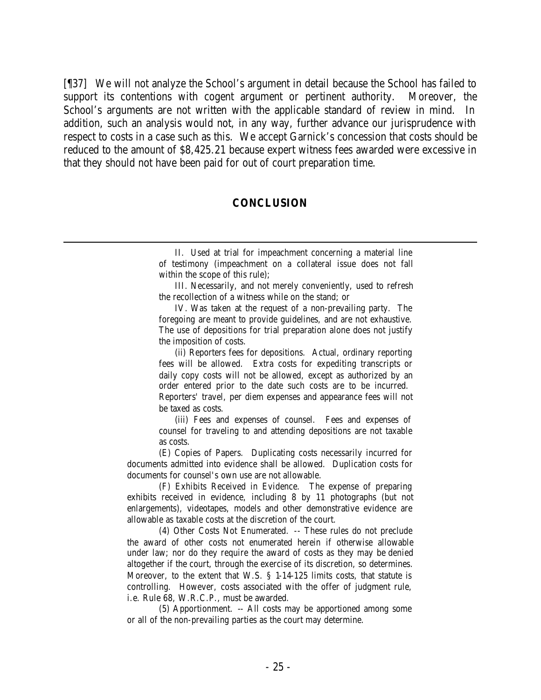[¶37] We will not analyze the School's argument in detail because the School has failed to support its contentions with cogent argument or pertinent authority. Moreover, the School's arguments are not written with the applicable standard of review in mind. In addition, such an analysis would not, in any way, further advance our jurisprudence with respect to costs in a case such as this. We accept Garnick's concession that costs should be reduced to the amount of \$8,425.21 because expert witness fees awarded were excessive in that they should not have been paid for out of court preparation time.

#### **CONCLUSION**

III. Necessarily, and not merely conveniently, used to refresh the recollection of a witness while on the stand; or

IV. Was taken at the request of a non-prevailing party. The foregoing are meant to provide guidelines, and are not exhaustive. The use of depositions for trial preparation alone does not justify the imposition of costs.

(ii) Reporters fees for depositions. Actual, ordinary reporting fees will be allowed. Extra costs for expediting transcripts or daily copy costs will not be allowed, except as authorized by an order entered prior to the date such costs are to be incurred.

Reporters' travel, per diem expenses and appearance fees will not be taxed as costs.

(iii) Fees and expenses of counsel. Fees and expenses of counsel for traveling to and attending depositions are not taxable as costs.

(E) Copies of Papers. Duplicating costs necessarily incurred for documents admitted into evidence shall be allowed. Duplication costs for documents for counsel's own use are not allowable.

(F) Exhibits Received in Evidence. The expense of preparing exhibits received in evidence, including 8 by 11 photographs (but not enlargements), videotapes, models and other demonstrative evidence are allowable as taxable costs at the discretion of the court.

(4) Other Costs Not Enumerated. -- These rules do not preclude the award of other costs not enumerated herein if otherwise allowable under law; nor do they require the award of costs as they may be denied altogether if the court, through the exercise of its discretion, so determines. Moreover, to the extent that W.S. § 1-14-125 limits costs, that statute is controlling. However, costs associated with the offer of judgment rule, i.e. Rule 68, W.R.C.P., must be awarded.

(5) Apportionment. -- All costs may be apportioned among some or all of the non-prevailing parties as the court may determine.

II. Used at trial for impeachment concerning a material line of testimony (impeachment on a collateral issue does not fall within the scope of this rule);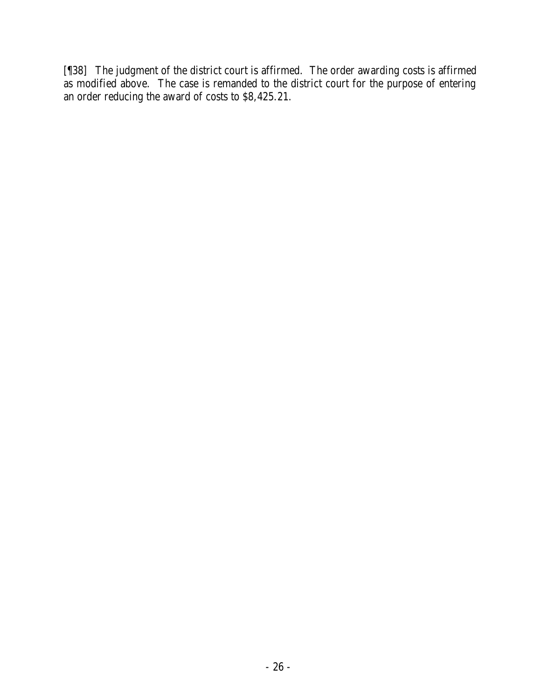[¶38] The judgment of the district court is affirmed. The order awarding costs is affirmed as modified above. The case is remanded to the district court for the purpose of entering an order reducing the award of costs to \$8,425.21.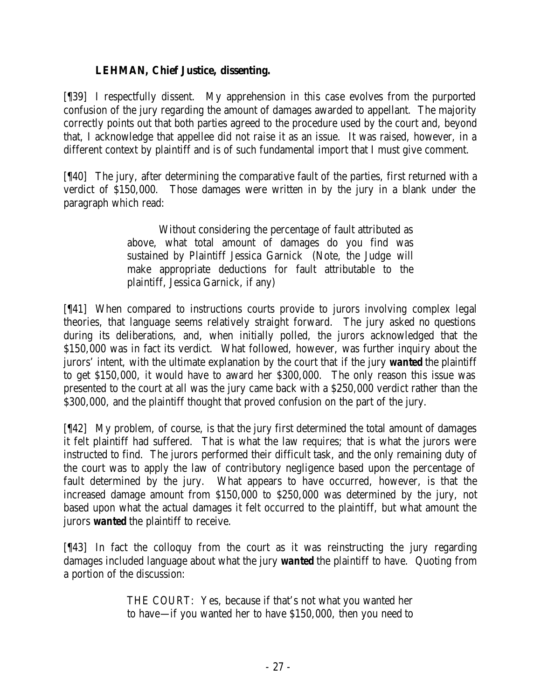## **LEHMAN, Chief Justice, dissenting.**

[¶39] I respectfully dissent. My apprehension in this case evolves from the purported confusion of the jury regarding the amount of damages awarded to appellant. The majority correctly points out that both parties agreed to the procedure used by the court and, beyond that, I acknowledge that appellee did not raise it as an issue. It was raised, however, in a different context by plaintiff and is of such fundamental import that I must give comment.

[¶40] The jury, after determining the comparative fault of the parties, first returned with a verdict of \$150,000. Those damages were written in by the jury in a blank under the paragraph which read:

> Without considering the percentage of fault attributed as above, what total amount of damages do you find was sustained by Plaintiff Jessica Garnick (Note, the Judge will make appropriate deductions for fault attributable to the plaintiff, Jessica Garnick, if any)

[¶41] When compared to instructions courts provide to jurors involving complex legal theories, that language seems relatively straight forward. The jury asked no questions during its deliberations, and, when initially polled, the jurors acknowledged that the \$150,000 was in fact its verdict. What followed, however, was further inquiry about the jurors' intent, with the ultimate explanation by the court that if the jury *wanted* the plaintiff to get \$150,000, it would have to award her \$300,000. The only reason this issue was presented to the court at all was the jury came back with a \$250,000 verdict rather than the \$300,000, and the plaintiff thought that proved confusion on the part of the jury.

[¶42] My problem, of course, is that the jury first determined the total amount of damages it felt plaintiff had suffered. That is what the law requires; that is what the jurors were instructed to find. The jurors performed their difficult task, and the only remaining duty of the court was to apply the law of contributory negligence based upon the percentage of fault determined by the jury. What appears to have occurred, however, is that the increased damage amount from \$150,000 to \$250,000 was determined by the jury, not based upon what the actual damages it felt occurred to the plaintiff, but what amount the jurors *wanted* the plaintiff to receive.

[¶43] In fact the colloquy from the court as it was reinstructing the jury regarding damages included language about what the jury *wanted* the plaintiff to have. Quoting from a portion of the discussion:

> THE COURT: Yes, because if that's not what you wanted her to have—if you wanted her to have \$150,000, then you need to